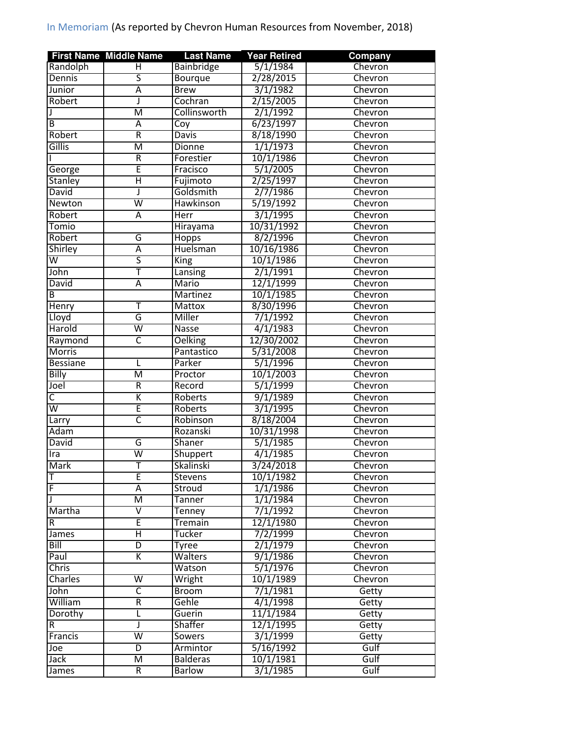|                         | <b>First Name Middle Name</b> | <b>Last Name</b>        | <b>Year Retired</b> | Company |
|-------------------------|-------------------------------|-------------------------|---------------------|---------|
| Randolph                | н                             | Bainbridge              | 5/1/1984            | Chevron |
| Dennis                  | $\overline{\mathsf{s}}$       | Bourque                 | 2/28/2015           | Chevron |
| Junior                  | Ā                             | <b>Brew</b>             | 3/1/1982            | Chevron |
| Robert                  | J                             | Cochran                 | 2/15/2005           | Chevron |
|                         | $\overline{\mathsf{M}}$       | Collinsworth            | 2/1/1992            | Chevron |
| B                       | Ā                             | $\overline{\text{Coy}}$ | 6/23/1997           | Chevron |
| Robert                  | $\overline{R}$                | <b>Davis</b>            | 8/18/1990           | Chevron |
| Gillis                  | M                             | <b>Dionne</b>           | 1/1/1973            | Chevron |
|                         | R                             | Forestier               | 10/1/1986           | Chevron |
| George                  | Ē                             | Fracisco                | 5/1/2005            | Chevron |
| <b>Stanley</b>          | Η                             | Fujimoto                | 2/25/1997           | Chevron |
| David                   | J                             | Goldsmith               | 2/7/1986            | Chevron |
| Newton                  | $\overline{\mathsf{w}}$       | Hawkinson               | 5/19/1992           | Chevron |
| Robert                  | Ā                             | <b>Herr</b>             | 3/1/1995            | Chevron |
| Tomio                   |                               | Hirayama                | 10/31/1992          | Chevron |
| Robert                  | G                             | Hopps                   | 8/2/1996            | Chevron |
| Shirley                 | $\overline{\mathsf{A}}$       | Huelsman                | 10/16/1986          | Chevron |
| $\overline{\mathsf{w}}$ | $\overline{\mathsf{s}}$       | King                    | 10/1/1986           | Chevron |
| John                    | Ŧ                             | Lansing                 | 2/1/1991            | Chevron |
| David                   | Ā                             | Mario                   | 12/1/1999           | Chevron |
| B                       |                               | <b>Martinez</b>         | 10/1/1985           | Chevron |
| <b>Henry</b>            | т                             | <b>Mattox</b>           | 8/30/1996           | Chevron |
| Lloyd                   | G                             | <b>Miller</b>           | 7/1/1992            | Chevron |
| Harold                  | $\overline{\mathsf{W}}$       | <b>Nasse</b>            | 4/1/1983            | Chevron |
| Raymond                 | $\overline{\mathsf{C}}$       | <b>Oelking</b>          | 12/30/2002          | Chevron |
| <b>Morris</b>           |                               |                         | 5/31/2008           |         |
|                         |                               | Pantastico              | 5/1/1996            | Chevron |
| <b>Bessiane</b>         | L                             | Parker                  |                     | Chevron |
| Billy                   | M                             | Proctor                 | 10/1/2003           | Chevron |
| Joel                    | R                             | Record                  | 5/1/1999            | Chevron |
| $\overline{\mathsf{C}}$ | K                             | Roberts                 | 9/1/1989            | Chevron |
| W                       | Ē                             | Roberts                 | 3/1/1995            | Chevron |
| Larry                   | $\overline{\mathsf{C}}$       | Robinson                | 8/18/2004           | Chevron |
| Adam                    |                               | Rozanski                | 10/31/1998          | Chevron |
| David                   | G                             | <b>Shaner</b>           | 5/1/1985            | Chevron |
| Ira                     | $\overline{\mathsf{W}}$       | Shuppert                | 4/1/1985            | Chevron |
| <b>Mark</b>             | T                             | Skalinski               | 3/24/2018           | Chevron |
| T                       | E                             | Stevens                 | 10/1/1982           | Chevron |
| F                       | А                             | Stroud                  | 1/1/1986            | Chevron |
|                         | М                             | Tanner                  | 1/1/1984            | Chevron |
| Martha                  | $\overline{\mathsf{V}}$       | Tenney                  | 7/1/1992            | Chevron |
| R.                      | E                             | Tremain                 | 12/1/1980           | Chevron |
| James                   | Η                             | Tucker                  | 7/2/1999            | Chevron |
| Bill                    | $\overline{\mathsf{D}}$       | Tyree                   | 2/1/1979            | Chevron |
| Paul                    | Κ                             | Walters                 | 9/1/1986            | Chevron |
| <b>Chris</b>            |                               | Watson                  | 5/1/1976            | Chevron |
| Charles                 | $\overline{\mathsf{W}}$       | Wright                  | 10/1/1989           | Chevron |
| John                    | $\overline{\mathsf{C}}$       | <b>Broom</b>            | 7/1/1981            | Getty   |
| William                 | R                             | Gehle                   | 4/1/1998            | Getty   |
| Dorothy                 | Г                             | Guerin                  | 11/1/1984           | Getty   |
| R                       | J                             | Shaffer                 | 12/1/1995           | Getty   |
| Francis                 | $\overline{\mathsf{w}}$       | Sowers                  | 3/1/1999            | Getty   |
| Joe                     | $\overline{\mathsf{D}}$       | Armintor                | 5/16/1992           | Gulf    |
| Jack                    | М                             | <b>Balderas</b>         | 10/1/1981           | Gulf    |
| James                   | $\overline{R}$                | <b>Barlow</b>           | 3/1/1985            | Gulf    |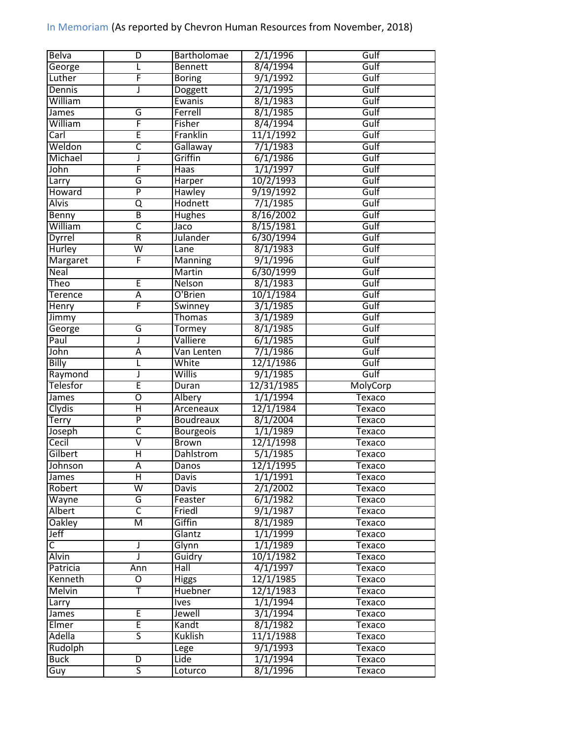| <b>Belva</b>            | D                       | <b>Bartholomae</b> | 2/1/1996              | Gulf          |
|-------------------------|-------------------------|--------------------|-----------------------|---------------|
| George                  |                         | <b>Bennett</b>     | 8/4/1994              | Gulf          |
| Luther                  | F                       | <b>Boring</b>      | 9/1/1992              | Gulf          |
| Dennis                  | J                       | Doggett            | 2/1/1995              | Gulf          |
| William                 |                         | Ewanis             | $8/\overline{1/1983}$ | Gulf          |
| James                   | G                       | Ferrell            | 8/1/1985              | Gulf          |
| William                 | F                       | Fisher             | 8/4/1994              | Gulf          |
| Carl                    | Ē                       | Franklin           | 11/1/1992             | Gulf          |
| Weldon                  | C                       | Gallaway           | 7/1/1983              | Gulf          |
| Michael                 | J                       | Griffin            | 6/1/1986              | Gulf          |
| John                    | F                       | $\overline{Haas}$  | 1/1/1997              | Gulf          |
| Larry                   | G                       | Harper             | 10/2/1993             | Gulf          |
| Howard                  | $\overline{P}$          | Hawley             | 9/19/1992             | Gulf          |
| <b>Alvis</b>            | Q                       | Hodnett            | 7/1/1985              | Gulf          |
| <b>Benny</b>            | $\overline{\mathsf{B}}$ | <b>Hughes</b>      | 8/16/2002             | Gulf          |
| William                 | $\overline{\mathsf{c}}$ | Jaco               | 8/15/1981             | Gulf          |
| <b>Dyrrel</b>           | $\overline{\mathsf{R}}$ | <b>Julander</b>    | 6/30/1994             | Gulf          |
| <b>Hurley</b>           | $\overline{\mathsf{w}}$ | Lane               | 8/1/1983              | Gulf          |
| Margaret                | F                       | <b>Manning</b>     | 9/1/1996              | Gulf          |
| Neal                    |                         | Martin             | 6/30/1999             | Gulf          |
| Theo                    | Έ                       | Nelson             | 8/1/1983              | Gulf          |
| <b>Terence</b>          | $\overline{A}$          | O'Brien            | 10/1/1984             | Gulf          |
| Henry                   | F                       | Swinney            | 3/1/1985              | Gulf          |
|                         |                         | <b>Thomas</b>      | 3/1/1989              | Gulf          |
| Jimmy                   |                         |                    |                       |               |
| George                  | G                       | Tormey             | 8/1/1985              | Gulf          |
| Paul                    | J                       | Valliere           | 6/1/1985              | Gulf          |
| John                    | $\overline{A}$          | Van Lenten         | 7/1/1986              | Gulf          |
| <b>Billy</b>            | L                       | White              | 12/1/1986             | Gulf          |
| Raymond                 | J                       | Willis             | 9/1/1985              | Gulf          |
| <b>Telesfor</b>         | Ē                       | Duran              | 12/31/1985            | MolyCorp      |
| James                   | $\overline{\mathrm{o}}$ | <b>Albery</b>      | 1/1/1994              | <b>Texaco</b> |
| <b>Clydis</b>           | Η                       | Arceneaux          | 12/1/1984             | Texaco        |
| <b>Terry</b>            | $\overline{P}$          | <b>Boudreaux</b>   | 8/1/2004              | Texaco        |
| Joseph                  | C                       | <b>Bourgeois</b>   | 1/1/1989              | <b>Texaco</b> |
| Cecil                   | $\overline{\mathsf{v}}$ | <b>Brown</b>       | 12/1/1998             | <b>Texaco</b> |
| Gilbert                 | Ξ                       | Dahlstrom          | 5/1/1985              | Texaco        |
| Johnson                 | Ā                       | Danos              | 12/1/1995             | Texaco        |
| James                   | Η                       | Davis              | 1/1/1991              | Texaco        |
| Robert                  | $\overline{\mathsf{w}}$ | <b>Davis</b>       | 2/1/2002              | Texaco        |
| Wayne                   | G                       | Feaster            | 6/1/1982              | Texaco        |
| <b>Albert</b>           | $\overline{\mathsf{C}}$ | Friedl             | 9/1/1987              | Texaco        |
| <b>Oakley</b>           | $\overline{\mathsf{M}}$ | Giffin             | 8/1/1989              | Texaco        |
| Jeff                    |                         | Glantz             | 1/1/1999              | Texaco        |
| $\overline{\mathsf{C}}$ | J                       | Glynn              | 1/1/1989              | Texaco        |
| <b>Alvin</b>            | J                       | Guidry             | 10/1/1982             | Texaco        |
| Patricia                | Ann                     | Hall               | 4/1/1997              | Texaco        |
| Kenneth                 | O                       | <b>Higgs</b>       | 12/1/1985             | Texaco        |
| <b>Melvin</b>           | Ŧ                       | <b>Huebner</b>     | 12/1/1983             | Texaco        |
| Larry                   |                         | Ives               | 1/1/1994              | Texaco        |
| James                   | Έ                       | Jewell             | 3/1/1994              | Texaco        |
| Elmer                   | Έ                       | Kandt              | 8/1/1982              | Texaco        |
| Adella                  | $\overline{\mathsf{s}}$ | Kuklish            | 11/1/1988             | Texaco        |
| Rudolph                 |                         | Lege               | 9/1/1993              | Texaco        |
| <b>Buck</b>             | $\overline{D}$          | Lide               | 1/1/1994              | <b>Texaco</b> |
| Guy                     | $\overline{\mathsf{s}}$ | Loturco            | 8/1/1996              | Texaco        |
|                         |                         |                    |                       |               |